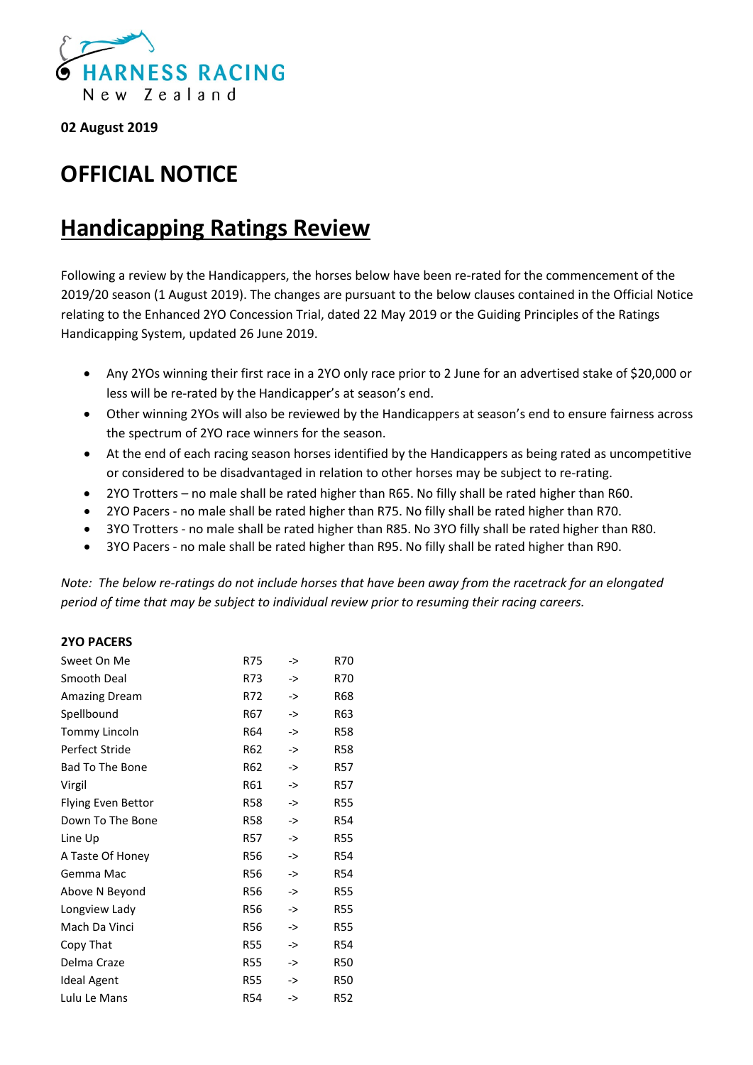

**02 August 2019**

## **OFFICIAL NOTICE**

## **Handicapping Ratings Review**

Following a review by the Handicappers, the horses below have been re-rated for the commencement of the 2019/20 season (1 August 2019). The changes are pursuant to the below clauses contained in the Official Notice relating to the Enhanced 2YO Concession Trial, dated 22 May 2019 or the Guiding Principles of the Ratings Handicapping System, updated 26 June 2019.

- Any 2YOs winning their first race in a 2YO only race prior to 2 June for an advertised stake of \$20,000 or less will be re-rated by the Handicapper's at season's end.
- Other winning 2YOs will also be reviewed by the Handicappers at season's end to ensure fairness across the spectrum of 2YO race winners for the season.
- At the end of each racing season horses identified by the Handicappers as being rated as uncompetitive or considered to be disadvantaged in relation to other horses may be subject to re-rating.
- 2YO Trotters no male shall be rated higher than R65. No filly shall be rated higher than R60.
- 2YO Pacers no male shall be rated higher than R75. No filly shall be rated higher than R70.
- 3YO Trotters no male shall be rated higher than R85. No 3YO filly shall be rated higher than R80.
- 3YO Pacers no male shall be rated higher than R95. No filly shall be rated higher than R90.

*Note: The below re-ratings do not include horses that have been away from the racetrack for an elongated period of time that may be subject to individual review prior to resuming their racing careers.*

## **2YO PACERS**

| Sweet On Me            | <b>R75</b>      | -> | R70        |
|------------------------|-----------------|----|------------|
| Smooth Deal            | R73             | -> | R70        |
| Amazing Dream          | R72             | -> | <b>R68</b> |
| Spellbound             | R67             | -> | R63        |
| Tommy Lincoln          | R64             | -> | R58        |
| Perfect Stride         | R <sub>62</sub> | -> | <b>R58</b> |
| <b>Bad To The Bone</b> | R62             | -> | R57        |
| Virgil                 | R61             | -> | <b>R57</b> |
| Flying Even Bettor     | <b>R58</b>      | -> | <b>R55</b> |
| Down To The Bone       | <b>R58</b>      | -> | R54        |
| Line Up                | <b>R57</b>      | -> | <b>R55</b> |
| A Taste Of Honey       | <b>R56</b>      | -> | <b>R54</b> |
| Gemma Mac              | <b>R56</b>      | -> | <b>R54</b> |
| Above N Beyond         | <b>R56</b>      | -> | <b>R55</b> |
| Longview Lady          | <b>R56</b>      | -> | <b>R55</b> |
| Mach Da Vinci          | <b>R56</b>      | -> | <b>R55</b> |
| Copy That              | <b>R55</b>      | -> | <b>R54</b> |
| Delma Craze            | <b>R55</b>      | -> | <b>R50</b> |
| <b>Ideal Agent</b>     | <b>R55</b>      | -> | <b>R50</b> |
| Lulu Le Mans           | <b>R54</b>      | -> | <b>R52</b> |
|                        |                 |    |            |